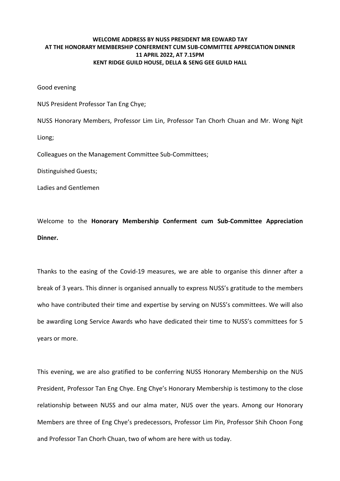## **WELCOME ADDRESS BY NUSS PRESIDENT MR EDWARD TAY AT THE HONORARY MEMBERSHIP CONFERMENT CUM SUB‐COMMITTEE APPRECIATION DINNER 11 APRIL 2022, AT 7.15PM KENT RIDGE GUILD HOUSE, DELLA & SENG GEE GUILD HALL**

Good evening

NUS President Professor Tan Eng Chye;

NUSS Honorary Members, Professor Lim Lin, Professor Tan Chorh Chuan and Mr. Wong Ngit

Liong;

Colleagues on the Management Committee Sub‐Committees;

Distinguished Guests;

Ladies and Gentlemen

Welcome to the **Honorary Membership Conferment cum Sub‐Committee Appreciation Dinner.**

Thanks to the easing of the Covid‐19 measures, we are able to organise this dinner after a break of 3 years. This dinner is organised annually to express NUSS's gratitude to the members who have contributed their time and expertise by serving on NUSS's committees. We will also be awarding Long Service Awards who have dedicated their time to NUSS's committees for 5 years or more.

This evening, we are also gratified to be conferring NUSS Honorary Membership on the NUS President, Professor Tan Eng Chye. Eng Chye's Honorary Membership is testimony to the close relationship between NUSS and our alma mater, NUS over the years. Among our Honorary Members are three of Eng Chye's predecessors, Professor Lim Pin, Professor Shih Choon Fong and Professor Tan Chorh Chuan, two of whom are here with us today.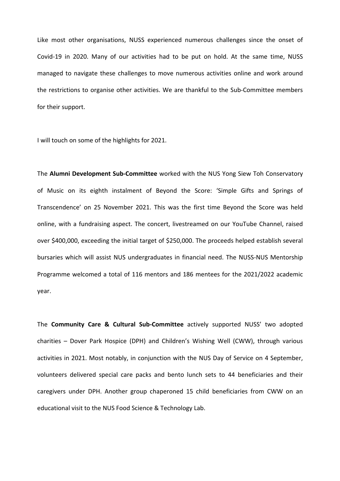Like most other organisations, NUSS experienced numerous challenges since the onset of Covid‐19 in 2020. Many of our activities had to be put on hold. At the same time, NUSS managed to navigate these challenges to move numerous activities online and work around the restrictions to organise other activities. We are thankful to the Sub‐Committee members for their support.

I will touch on some of the highlights for 2021.

The **Alumni Development Sub‐Committee** worked with the NUS Yong Siew Toh Conservatory of Music on its eighth instalment of Beyond the Score: 'Simple Gifts and Springs of Transcendence' on 25 November 2021. This was the first time Beyond the Score was held online, with a fundraising aspect. The concert, livestreamed on our YouTube Channel, raised over \$400,000, exceeding the initial target of \$250,000. The proceeds helped establish several bursaries which will assist NUS undergraduates in financial need. The NUSS‐NUS Mentorship Programme welcomed a total of 116 mentors and 186 mentees for the 2021/2022 academic year.

The **Community Care & Cultural Sub‐Committee** actively supported NUSS' two adopted charities – Dover Park Hospice (DPH) and Children's Wishing Well (CWW), through various activities in 2021. Most notably, in conjunction with the NUS Day of Service on 4 September, volunteers delivered special care packs and bento lunch sets to 44 beneficiaries and their caregivers under DPH. Another group chaperoned 15 child beneficiaries from CWW on an educational visit to the NUS Food Science & Technology Lab.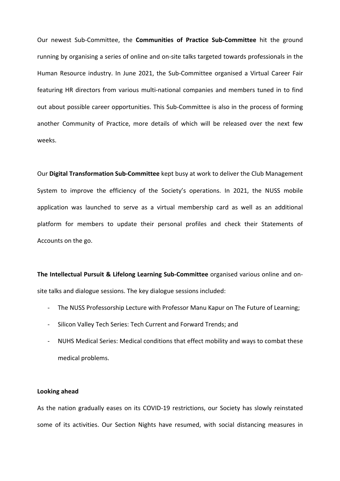Our newest Sub‐Committee, the **Communities of Practice Sub‐Committee** hit the ground running by organising a series of online and on‐site talks targeted towards professionals in the Human Resource industry. In June 2021, the Sub‐Committee organised a Virtual Career Fair featuring HR directors from various multi‐national companies and members tuned in to find out about possible career opportunities. This Sub‐Committee is also in the process of forming another Community of Practice, more details of which will be released over the next few weeks.

Our **Digital Transformation Sub‐Committee** kept busy at work to deliver the Club Management System to improve the efficiency of the Society's operations. In 2021, the NUSS mobile application was launched to serve as a virtual membership card as well as an additional platform for members to update their personal profiles and check their Statements of Accounts on the go.

**The Intellectual Pursuit & Lifelong Learning Sub‐Committee** organised various online and on‐ site talks and dialogue sessions. The key dialogue sessions included:

- ‐ The NUSS Professorship Lecture with Professor Manu Kapur on The Future of Learning;
- ‐ Silicon Valley Tech Series: Tech Current and Forward Trends; and
- ‐ NUHS Medical Series: Medical conditions that effect mobility and ways to combat these medical problems.

## **Looking ahead**

As the nation gradually eases on its COVID‐19 restrictions, our Society has slowly reinstated some of its activities. Our Section Nights have resumed, with social distancing measures in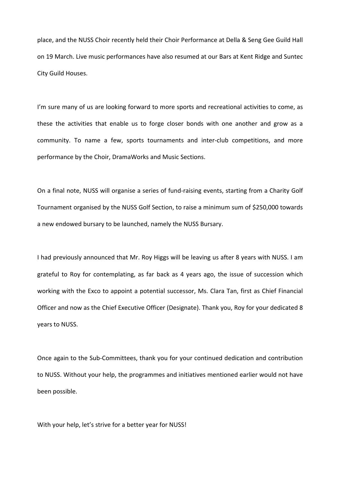place, and the NUSS Choir recently held their Choir Performance at Della & Seng Gee Guild Hall on 19 March. Live music performances have also resumed at our Bars at Kent Ridge and Suntec City Guild Houses.

I'm sure many of us are looking forward to more sports and recreational activities to come, as these the activities that enable us to forge closer bonds with one another and grow as a community. To name a few, sports tournaments and inter‐club competitions, and more performance by the Choir, DramaWorks and Music Sections.

On a final note, NUSS will organise a series of fund‐raising events, starting from a Charity Golf Tournament organised by the NUSS Golf Section, to raise a minimum sum of \$250,000 towards a new endowed bursary to be launched, namely the NUSS Bursary.

I had previously announced that Mr. Roy Higgs will be leaving us after 8 years with NUSS. I am grateful to Roy for contemplating, as far back as 4 years ago, the issue of succession which working with the Exco to appoint a potential successor, Ms. Clara Tan, first as Chief Financial Officer and now as the Chief Executive Officer (Designate). Thank you, Roy for your dedicated 8 years to NUSS.

Once again to the Sub‐Committees, thank you for your continued dedication and contribution to NUSS. Without your help, the programmes and initiatives mentioned earlier would not have been possible.

With your help, let's strive for a better year for NUSS!